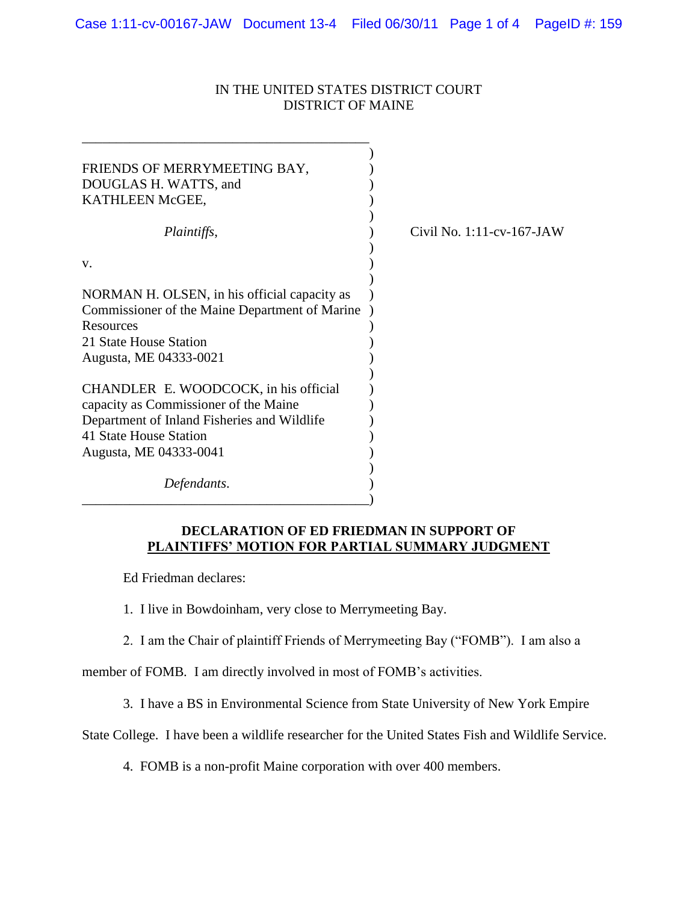## IN THE UNITED STATES DISTRICT COURT DISTRICT OF MAINE

| FRIENDS OF MERRYMEETING BAY,<br>DOUGLAS H. WATTS, and<br>KATHLEEN McGEE,                                                                                                          |                           |
|-----------------------------------------------------------------------------------------------------------------------------------------------------------------------------------|---------------------------|
| <i>Plaintiffs,</i>                                                                                                                                                                | Civil No. 1:11-cv-167-JAW |
| V.                                                                                                                                                                                |                           |
| NORMAN H. OLSEN, in his official capacity as<br>Commissioner of the Maine Department of Marine<br>Resources<br>21 State House Station<br>Augusta, ME 04333-0021                   |                           |
| CHANDLER E. WOODCOCK, in his official<br>capacity as Commissioner of the Maine<br>Department of Inland Fisheries and Wildlife<br>41 State House Station<br>Augusta, ME 04333-0041 |                           |
| Defendants.                                                                                                                                                                       |                           |

## **DECLARATION OF ED FRIEDMAN IN SUPPORT OF PLAINTIFFS' MOTION FOR PARTIAL SUMMARY JUDGMENT**

Ed Friedman declares:

1. I live in Bowdoinham, very close to Merrymeeting Bay.

2. I am the Chair of plaintiff Friends of Merrymeeting Bay ("FOMB"). I am also a

member of FOMB. I am directly involved in most of FOMB's activities.

3. I have a BS in Environmental Science from State University of New York Empire

State College. I have been a wildlife researcher for the United States Fish and Wildlife Service.

4. FOMB is a non-profit Maine corporation with over 400 members.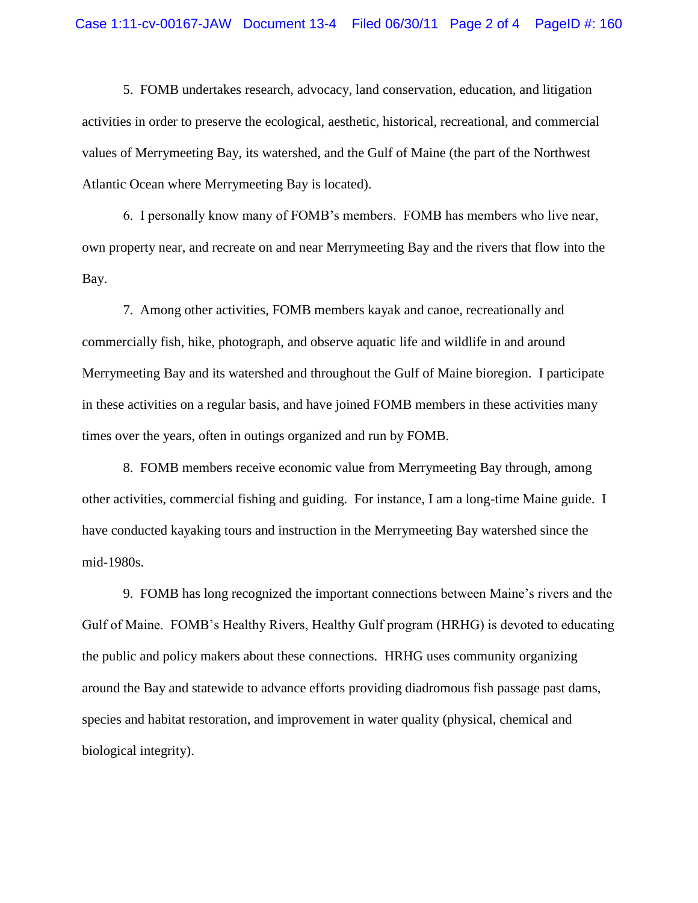5. FOMB undertakes research, advocacy, land conservation, education, and litigation activities in order to preserve the ecological, aesthetic, historical, recreational, and commercial values of Merrymeeting Bay, its watershed, and the Gulf of Maine (the part of the Northwest Atlantic Ocean where Merrymeeting Bay is located).

6. I personally know many of FOMB's members. FOMB has members who live near, own property near, and recreate on and near Merrymeeting Bay and the rivers that flow into the Bay.

7. Among other activities, FOMB members kayak and canoe, recreationally and commercially fish, hike, photograph, and observe aquatic life and wildlife in and around Merrymeeting Bay and its watershed and throughout the Gulf of Maine bioregion. I participate in these activities on a regular basis, and have joined FOMB members in these activities many times over the years, often in outings organized and run by FOMB.

8. FOMB members receive economic value from Merrymeeting Bay through, among other activities, commercial fishing and guiding. For instance, I am a long-time Maine guide. I have conducted kayaking tours and instruction in the Merrymeeting Bay watershed since the mid-1980s.

9. FOMB has long recognized the important connections between Maine's rivers and the Gulf of Maine. FOMB's Healthy Rivers, Healthy Gulf program (HRHG) is devoted to educating the public and policy makers about these connections. HRHG uses community organizing around the Bay and statewide to advance efforts providing diadromous fish passage past dams, species and habitat restoration, and improvement in water quality (physical, chemical and biological integrity).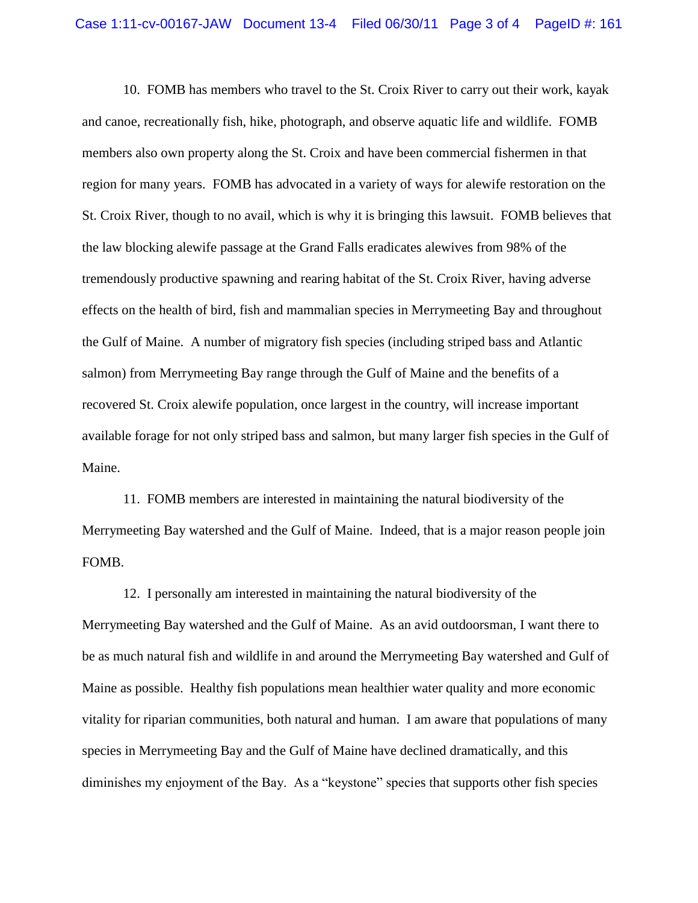10. FOMB has members who travel to the St. Croix River to carry out their work, kayak and canoe, recreationally fish, hike, photograph, and observe aquatic life and wildlife. FOMB members also own property along the St. Croix and have been commercial fishermen in that region for many years. FOMB has advocated in a variety of ways for alewife restoration on the St. Croix River, though to no avail, which is why it is bringing this lawsuit. FOMB believes that the law blocking alewife passage at the Grand Falls eradicates alewives from 98% of the tremendously productive spawning and rearing habitat of the St. Croix River, having adverse effects on the health of bird, fish and mammalian species in Merrymeeting Bay and throughout the Gulf of Maine. A number of migratory fish species (including striped bass and Atlantic salmon) from Merrymeeting Bay range through the Gulf of Maine and the benefits of a recovered St. Croix alewife population, once largest in the country, will increase important available forage for not only striped bass and salmon, but many larger fish species in the Gulf of Maine.

11. FOMB members are interested in maintaining the natural biodiversity of the Merrymeeting Bay watershed and the Gulf of Maine. Indeed, that is a major reason people join FOMB.

12. I personally am interested in maintaining the natural biodiversity of the Merrymeeting Bay watershed and the Gulf of Maine. As an avid outdoorsman, I want there to be as much natural fish and wildlife in and around the Merrymeeting Bay watershed and Gulf of Maine as possible. Healthy fish populations mean healthier water quality and more economic vitality for riparian communities, both natural and human. I am aware that populations of many species in Merrymeeting Bay and the Gulf of Maine have declined dramatically, and this diminishes my enjoyment of the Bay. As a "keystone" species that supports other fish species